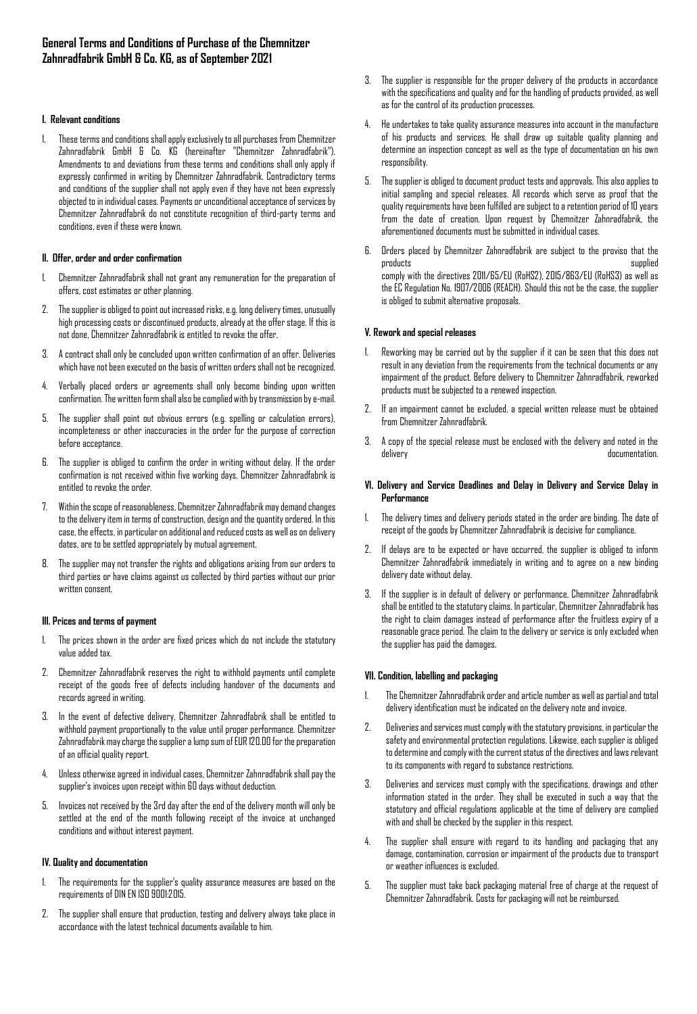### **I. Relevant conditions**

1. These terms and conditions shall apply exclusively to all purchases from Chemnitzer Zahnradfabrik GmbH & Co. KG (hereinafter "Chemnitzer Zahnradfabrik"). Amendments to and deviations from these terms and conditions shall only apply if expressly confirmed in writing by Chemnitzer Zahnradfabrik. Contradictory terms and conditions of the supplier shall not apply even if they have not been expressly objected to in individual cases. Payments or unconditional acceptance of services by Chemnitzer Zahnradfabrik do not constitute recognition of third-party terms and conditions, even if these were known.

### **II. Offer, order and order confirmation**

- 1. Chemnitzer Zahnradfabrik shall not grant any remuneration for the preparation of offers, cost estimates or other planning.
- 2. The supplier is obliged to point out increased risks, e.g. long delivery times, unusually high processing costs or discontinued products, already at the offer stage. If this is not done, Chemnitzer Zahnradfabrik is entitled to revoke the offer.
- 3. A contract shall only be concluded upon written confirmation of an offer. Deliveries which have not been executed on the basis of written orders shall not be recognized.
- 4. Verbally placed orders or agreements shall only become binding upon written confirmation. The written form shall also be complied with by transmission by e-mail.
- 5. The supplier shall point out obvious errors (e.g. spelling or calculation errors), incompleteness or other inaccuracies in the order for the purpose of correction before acceptance.
- 6. The supplier is obliged to confirm the order in writing without delay. If the order confirmation is not received within five working days, Chemnitzer Zahnradfabrik is entitled to revoke the order.
- 7. Within the scope of reasonableness, Chemnitzer Zahnradfabrik may demand changes to the delivery item in terms of construction, design and the quantity ordered. In this case, the effects, in particular on additional and reduced costs as well as on delivery dates, are to be settled appropriately by mutual agreement.
- 8. The supplier may not transfer the rights and obligations arising from our orders to third parties or have claims against us collected by third parties without our prior written consent.

### **III. Prices and terms of payment**

- 1. The prices shown in the order are fixed prices which do not include the statutory value added tax.
- 2. Chemnitzer Zahnradfabrik reserves the right to withhold payments until complete receipt of the goods free of defects including handover of the documents and records agreed in writing.
- 3. In the event of defective delivery, Chemnitzer Zahnradfabrik shall be entitled to withhold payment proportionally to the value until proper performance. Chemnitzer Zahnradfabrik may charge the supplier a lump sum of EUR 120.00 for the preparation of an official quality report.
- 4. Unless otherwise agreed in individual cases, Chemnitzer Zahnradfabrikshall pay the supplier's invoices upon receipt within 60 days without deduction.
- 5. Invoices not received by the 3rd day after the end of the delivery month will only be settled at the end of the month following receipt of the invoice at unchanged conditions and without interest payment.

### **IV. Quality and documentation**

- The requirements for the supplier's quality assurance measures are based on the requirements of DIN EN ISO 9001:2015.
- 2. The supplier shall ensure that production, testing and delivery always take place in accordance with the latest technical documents available to him.
- 3. The supplier is responsible for the proper delivery of the products in accordance with the specifications and quality and for the handling of products provided, as well as for the control of its production processes.
- 4. He undertakes to take quality assurance measures into account in the manufacture of his products and services. He shall draw up suitable quality planning and determine an inspection concept as well as the type of documentation on his own responsibility.
- 5. The supplier is obliged to document product tests and approvals. This also applies to initial sampling and special releases. All records which serve as proof that the quality requirements have been fulfilled are subject to a retention period of 10 years from the date of creation. Upon request by Chemnitzer Zahnradfabrik, the aforementioned documents must be submitted in individual cases.
- 6. Orders placed by Chemnitzer Zahnradfabrik are subject to the proviso that the products supplied comply with the directives 2011/65/EU (RoHS2), 2015/863/EU (RoHS3) as well as the EC Regulation No. 1907/2006 (REACH). Should this not be the case, the supplier is obliged to submit alternative proposals.

## **V. Rework and special releases**

- 1. Reworking may be carried out by the supplier if it can be seen that this does not result in any deviation from the requirements from the technical documents or any impairment of the product. Before delivery to Chemnitzer Zahnradfabrik, reworked products must be subjected to a renewed inspection.
- 2. If an impairment cannot be excluded, a special written release must be obtained from Chemnitzer Zahnradfabrik.
- 3. A copy of the special release must be enclosed with the delivery and noted in the delivery documentation.

### **VI. Delivery and Service Deadlines and Delay in Delivery and Service Delay in Performance**

- 1. The delivery times and delivery periods stated in the order are binding. The date of receipt of the goods by Chemnitzer Zahnradfabrik is decisive for compliance.
- 2. If delays are to be expected or have occurred, the supplier is obliged to inform Chemnitzer Zahnradfabrik immediately in writing and to agree on a new binding delivery date without delay.
- 3. If the supplier is in default of delivery or performance, Chemnitzer Zahnradfabrik shall be entitled to the statutory claims. In particular, Chemnitzer Zahnradfabrikhas the right to claim damages instead of performance after the fruitless expiry of a reasonable grace period. The claim to the delivery or service is only excluded when the supplier has paid the damages.

# **VII. Condition, labelling and packaging**

- 1. The Chemnitzer Zahnradfabrik order and article number as well as partial and total delivery identification must be indicated on the delivery note and invoice.
- 2. Deliveries and services must comply with the statutory provisions, in particular the safety and environmental protection regulations. Likewise, each supplier is obliged to determine and comply with the current status of the directives and laws relevant to its components with regard to substance restrictions.
- 3. Deliveries and services must comply with the specifications, drawings and other information stated in the order. They shall be executed in such a way that the statutory and official regulations applicable at the time of delivery are complied with and shall be checked by the supplier in this respect.
- 4. The supplier shall ensure with regard to its handling and packaging that any damage, contamination, corrosion or impairment of the products due to transport or weather influences is excluded.
- 5. The supplier must take back packaging material free of charge at the request of Chemnitzer Zahnradfabrik. Costs for packaging will not be reimbursed.